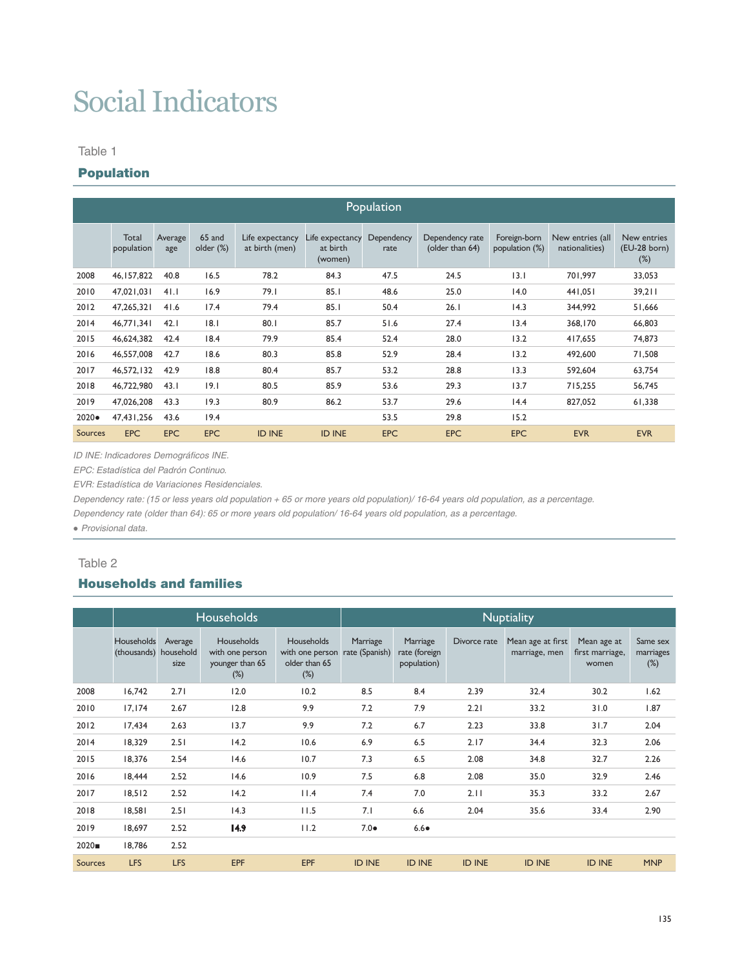# Social Indicators

#### Table 1

# Population

|                | Population          |                |                     |                                   |                                        |                    |                                    |                                |                                    |                                         |  |  |  |  |
|----------------|---------------------|----------------|---------------------|-----------------------------------|----------------------------------------|--------------------|------------------------------------|--------------------------------|------------------------------------|-----------------------------------------|--|--|--|--|
|                | Total<br>population | Average<br>age | 65 and<br>older (%) | Life expectancy<br>at birth (men) | Life expectancy<br>at birth<br>(women) | Dependency<br>rate | Dependency rate<br>(older than 64) | Foreign-born<br>population (%) | New entries (all<br>nationalities) | New entries<br>$(EU-28$ born)<br>$(\%)$ |  |  |  |  |
| 2008           | 46, 157, 822        | 40.8           | 16.5                | 78.2                              | 84.3                                   | 47.5               | 24.5                               | 3.1                            | 701.997                            | 33,053                                  |  |  |  |  |
| 2010           | 47,021,031          | 41.1           | 16.9                | 79.1                              | 85.1                                   | 48.6               | 25.0                               | 14.0                           | 441,051                            | 39,211                                  |  |  |  |  |
| 2012           | 47,265,321          | 41.6           | 17.4                | 79.4                              | 85.1                                   | 50.4               | 26.1                               | 14.3                           | 344,992                            | 51,666                                  |  |  |  |  |
| 2014           | 46,771,341          | 42.1           | 8.1                 | 80.1                              | 85.7                                   | 51.6               | 27.4                               | 13.4                           | 368,170                            | 66,803                                  |  |  |  |  |
| 2015           | 46,624,382          | 42.4           | 18.4                | 79.9                              | 85.4                                   | 52.4               | 28.0                               | 13.2                           | 417.655                            | 74,873                                  |  |  |  |  |
| 2016           | 46,557,008          | 42.7           | 18.6                | 80.3                              | 85.8                                   | 52.9               | 28.4                               | 13.2                           | 492,600                            | 71,508                                  |  |  |  |  |
| 2017           | 46,572,132          | 42.9           | 18.8                | 80.4                              | 85.7                                   | 53.2               | 28.8                               | 13.3                           | 592.604                            | 63,754                                  |  |  |  |  |
| 2018           | 46,722,980          | 43.1           | 19.1                | 80.5                              | 85.9                                   | 53.6               | 29.3                               | 13.7                           | 715,255                            | 56,745                                  |  |  |  |  |
| 2019           | 47.026.208          | 43.3           | 19.3                | 80.9                              | 86.2                                   | 53.7               | 29.6                               | 14.4                           | 827.052                            | 61,338                                  |  |  |  |  |
| $2020 \bullet$ | 47,431,256          | 43.6           | 19.4                |                                   |                                        | 53.5               | 29.8                               | 15.2                           |                                    |                                         |  |  |  |  |
| <b>Sources</b> | <b>EPC</b>          | <b>EPC</b>     | <b>EPC</b>          | <b>ID INE</b>                     | <b>ID INE</b>                          | <b>EPC</b>         | <b>EPC</b>                         | <b>EPC</b>                     | <b>EVR</b>                         | <b>EVR</b>                              |  |  |  |  |

*ID INE: Indicadores Demográficos INE.*

*EPC: Estadística del Padrón Continuo.* 

*EVR: Estadística de Variaciones Residenciales.*

*Dependency rate: (15 or less years old population + 65 or more years old population)/ 16-64 years old population, as a percentage.*

*Dependency rate (older than 64): 65 or more years old population/ 16-64 years old population, as a percentage.*

● *Provisional data.*

## Table 2

# Households and families

|                |                                     |                 | <b>Households</b>                                          |                                                                 | <b>Nuptiality</b>          |                                          |               |                                    |                                         |                                 |  |  |  |
|----------------|-------------------------------------|-----------------|------------------------------------------------------------|-----------------------------------------------------------------|----------------------------|------------------------------------------|---------------|------------------------------------|-----------------------------------------|---------------------------------|--|--|--|
|                | Households<br>(thousands) household | Average<br>size | Households<br>with one person<br>younger than 65<br>$(\%)$ | <b>Households</b><br>with one person<br>older than 65<br>$(\%)$ | Marriage<br>rate (Spanish) | Marriage<br>rate (foreign<br>population) | Divorce rate  | Mean age at first<br>marriage, men | Mean age at<br>first marriage,<br>women | Same sex<br>marriages<br>$(\%)$ |  |  |  |
| 2008           | 16.742                              | 2.71            | 12.0                                                       | 10.2                                                            | 8.5                        | 8.4                                      | 2.39          | 32.4                               | 30.2                                    | 1.62                            |  |  |  |
| 2010           | 17, 174                             | 2.67            | 12.8                                                       | 9.9                                                             | 7.2                        | 7.9                                      | 2.21          | 33.2                               | 31.0                                    | 1.87                            |  |  |  |
| 2012           | 17,434                              | 2.63            | 13.7                                                       | 9.9                                                             | 7.2                        | 6.7                                      | 2.23          | 33.8                               | 31.7                                    | 2.04                            |  |  |  |
| 2014           | 18,329                              | 2.51            | 14.2                                                       | 10.6                                                            | 6.9                        | 6.5                                      | 2.17          | 34.4                               | 32.3                                    | 2.06                            |  |  |  |
| 2015           | 18,376                              | 2.54            | 14.6                                                       | 10.7                                                            | 7.3                        | 6.5                                      | 2.08          | 34.8                               | 32.7                                    | 2.26                            |  |  |  |
| 2016           | 18.444                              | 2.52            | 14.6                                                       | 10.9                                                            | 7.5                        | 6.8                                      | 2.08          | 35.0                               | 32.9                                    | 2.46                            |  |  |  |
| 2017           | 18,512                              | 2.52            | 14.2                                                       | 11.4                                                            | 7.4                        | 7.0                                      | 2.11          | 35.3                               | 33.2                                    | 2.67                            |  |  |  |
| 2018           | 18,581                              | 2.51            | 14.3                                                       | 11.5                                                            | 7.1                        | 6.6                                      | 2.04          | 35.6                               | 33.4                                    | 2.90                            |  |  |  |
| 2019           | 18.697                              | 2.52            | 14.9                                                       | 11.2                                                            | $7.0\bullet$               | $6.6\bullet$                             |               |                                    |                                         |                                 |  |  |  |
| 2020           | 18.786                              | 2.52            |                                                            |                                                                 |                            |                                          |               |                                    |                                         |                                 |  |  |  |
| <b>Sources</b> | <b>LFS</b>                          | <b>LFS</b>      | <b>EPF</b>                                                 | EPF                                                             | <b>ID INE</b>              | <b>ID INE</b>                            | <b>ID INE</b> | <b>ID INE</b>                      | <b>ID INE</b>                           | <b>MNP</b>                      |  |  |  |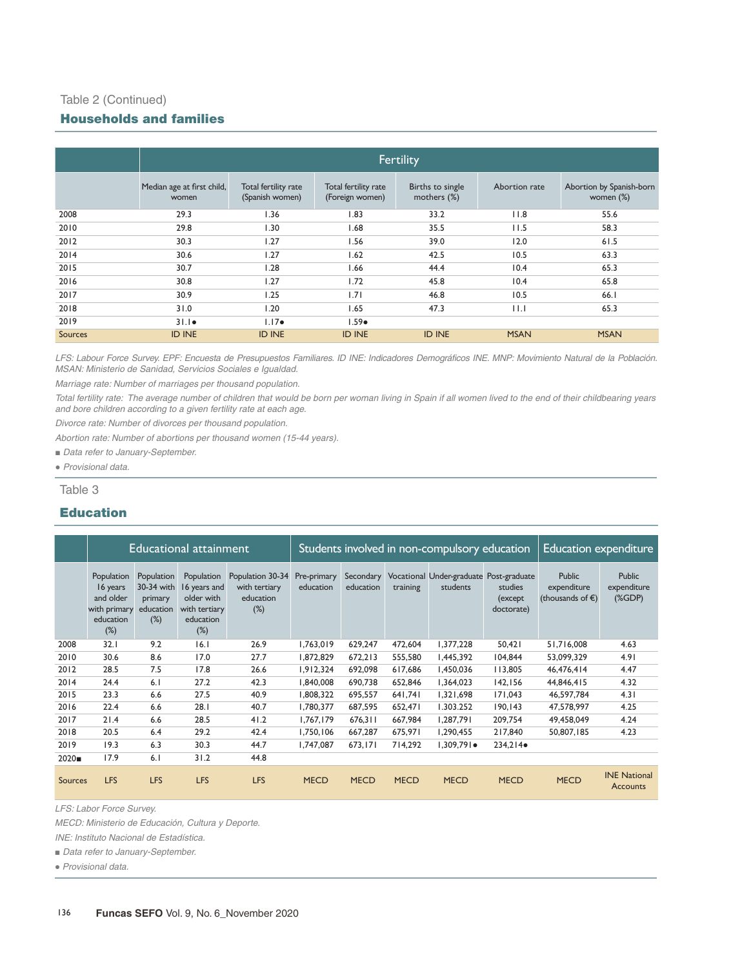## Table 2 (Continued)

## Households and families

|         | <b>Fertility</b>                    |                                         |                                         |                                 |               |                                       |  |  |  |  |  |  |
|---------|-------------------------------------|-----------------------------------------|-----------------------------------------|---------------------------------|---------------|---------------------------------------|--|--|--|--|--|--|
|         | Median age at first child,<br>women | Total fertility rate<br>(Spanish women) | Total fertility rate<br>(Foreign women) | Births to single<br>mothers (%) | Abortion rate | Abortion by Spanish-born<br>women (%) |  |  |  |  |  |  |
| 2008    | 29.3                                | 1.36                                    | 1.83                                    | 33.2                            | 11.8          | 55.6                                  |  |  |  |  |  |  |
| 2010    | 29.8                                | 1.30                                    | 1.68                                    | 35.5                            | 11.5          | 58.3                                  |  |  |  |  |  |  |
| 2012    | 30.3                                | 1.27                                    | 1.56                                    | 39.0                            | 12.0          | 61.5                                  |  |  |  |  |  |  |
| 2014    | 30.6                                | 1.27                                    | 1.62                                    | 42.5                            | 10.5          | 63.3                                  |  |  |  |  |  |  |
| 2015    | 30.7                                | 1.28                                    | 1.66                                    | 44.4                            | 10.4          | 65.3                                  |  |  |  |  |  |  |
| 2016    | 30.8                                | 1.27                                    | 1.72                                    | 45.8                            | 10.4          | 65.8                                  |  |  |  |  |  |  |
| 2017    | 30.9                                | 1.25                                    | 1.71                                    | 46.8                            | 10.5          | 66.I                                  |  |  |  |  |  |  |
| 2018    | 31.0                                | 1.20                                    | 1.65                                    | 47.3                            | $  \cdot  $   | 65.3                                  |  |  |  |  |  |  |
| 2019    | $31.1\bullet$                       | $1.17\bullet$                           | $1.59 \bullet$                          |                                 |               |                                       |  |  |  |  |  |  |
| Sources | <b>ID INE</b>                       | <b>ID INE</b>                           | <b>ID INE</b>                           | <b>ID INE</b>                   | <b>MSAN</b>   | <b>MSAN</b>                           |  |  |  |  |  |  |

LFS: Labour Force Survey. EPF: Encuesta de Presupuestos Familiares. ID INE: Indicadores Demográficos INE. MNP: Movimiento Natural de la Población. *MSAN: Ministerio de Sanidad, Servicios Sociales e Igualdad.* 

*Marriage rate: Number of marriages per thousand population.*

*Total fertility rate: The average number of children that would be born per woman living in Spain if all women lived to the end of their childbearing years and bore children according to a given fertility rate at each age.*

*Divorce rate: Number of divorces per thousand population.*

*Abortion rate: Number of abortions per thousand women (15-44 years).*

- *Data refer to January-September.*
- ● *Provisional data.*

Table 3

## Education

|         |                                                                            |                                                            | Educational attainment                                                           |                                                          |                          | Students involved in non-compulsory education | <b>Education expenditure</b> |                                                     |                                   |                                                            |                                      |
|---------|----------------------------------------------------------------------------|------------------------------------------------------------|----------------------------------------------------------------------------------|----------------------------------------------------------|--------------------------|-----------------------------------------------|------------------------------|-----------------------------------------------------|-----------------------------------|------------------------------------------------------------|--------------------------------------|
|         | Population<br>16 years<br>and older<br>with primary<br>education<br>$(\%)$ | Population<br>30-34 with<br>primary<br>education<br>$(\%)$ | Population<br>16 years and<br>older with<br>with tertiary<br>education<br>$(\%)$ | Population 30-34<br>with tertiary<br>education<br>$(\%)$ | Pre-primary<br>education | Secondary<br>education                        | training                     | Vocational Under-graduate Post-graduate<br>students | studies<br>(except)<br>doctorate) | <b>Public</b><br>expenditure<br>(thousands of $\epsilon$ ) | <b>Public</b><br>expenditure<br>(%D) |
| 2008    | 32.1                                                                       | 9.2                                                        | 16.1                                                                             | 26.9                                                     | 1,763,019                | 629.247                                       | 472.604                      | 1,377,228                                           | 50,421                            | 51,716,008                                                 | 4.63                                 |
| 2010    | 30.6                                                                       | 8.6                                                        | 17.0                                                                             | 27.7                                                     | 1,872,829                | 672,213                                       | 555,580                      | 1,445,392                                           | 104,844                           | 53,099,329                                                 | 4.91                                 |
| 2012    | 28.5                                                                       | 7.5                                                        | 17.8                                                                             | 26.6                                                     | 1,912,324                | 692,098                                       | 617,686                      | 1,450,036                                           | 113,805                           | 46,476,414                                                 | 4.47                                 |
| 2014    | 24.4                                                                       | 6.1                                                        | 27.2                                                                             | 42.3                                                     | 1,840,008                | 690,738                                       | 652,846                      | 1,364,023                                           | 142,156                           | 44,846,415                                                 | 4.32                                 |
| 2015    | 23.3                                                                       | 6.6                                                        | 27.5                                                                             | 40.9                                                     | 1,808,322                | 695,557                                       | 641,741                      | 1,321,698                                           | 171,043                           | 46,597,784                                                 | 4.31                                 |
| 2016    | 22.4                                                                       | 6.6                                                        | 28.1                                                                             | 40.7                                                     | 1,780,377                | 687.595                                       | 652.471                      | 1.303.252                                           | 190.143                           | 47.578.997                                                 | 4.25                                 |
| 2017    | 21.4                                                                       | 6.6                                                        | 28.5                                                                             | 41.2                                                     | 1,767,179                | 676,311                                       | 667,984                      | 1,287,791                                           | 209.754                           | 49,458,049                                                 | 4.24                                 |
| 2018    | 20.5                                                                       | 6.4                                                        | 29.2                                                                             | 42.4                                                     | 1.750.106                | 667.287                                       | 675,971                      | 1.290.455                                           | 217,840                           | 50.807.185                                                 | 4.23                                 |
| 2019    | 19.3                                                                       | 6.3                                                        | 30.3                                                                             | 44.7                                                     | 1,747,087                | 673,171                                       | 714,292                      | $1,309,791 \bullet$                                 | 234,214                           |                                                            |                                      |
| 2020    | 17.9                                                                       | 6.1                                                        | 31.2                                                                             | 44.8                                                     |                          |                                               |                              |                                                     |                                   |                                                            |                                      |
| Sources | <b>LFS</b>                                                                 | <b>LFS</b>                                                 | <b>LFS</b>                                                                       | <b>LFS</b>                                               | <b>MECD</b>              | <b>MECD</b>                                   | <b>MECD</b>                  | <b>MECD</b>                                         | <b>MECD</b>                       | <b>MECD</b>                                                | <b>INE National</b><br>Accounts      |

*LFS: Labor Force Survey.* 

*MECD: Ministerio de Educación, Cultura y Deporte.*

*INE: Instituto Nacional de Estadística.*

■ *Data refer to January-September.*

● *Provisional data.*